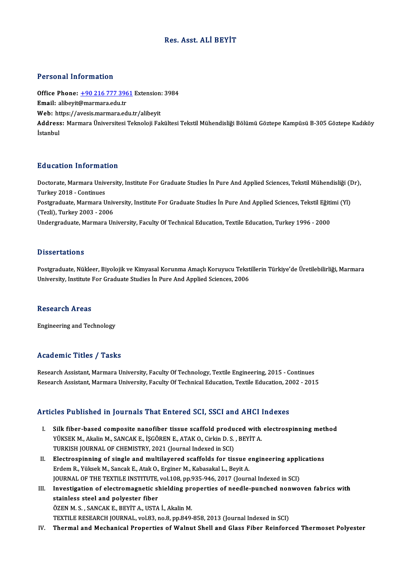## Res. Asst. ALİ BEYİT

#### Personal Information

Personal Information<br>Office Phone: <u>+90 216 777 3961</u> Extension: 3984<br>Email: alibevit@marmara.odu.tr Processian and Cameron<br>Office Phone: <u>+90 216 777 396</u><br>Email: alibeyit[@marmara.edu.tr](tel:+90 216 777 3961) Office Phone: <u>+90 216 777 3961</u> Extension:<br>Email: alibeyit@marmara.edu.tr<br>Web: https://avesis.marmara.edu.tr/alibeyit<br>Address: Marmara Universitesi Talmalaji Fal **Email:** alibeyit@marmara.edu.tr<br>Web: https://avesis.marmara.edu.tr/alibeyit<br>Address: Marmara Üniversitesi Teknoloji Fakültesi Tekstil Mühendisliği Bölümü Göztepe Kampüsü B-305 Göztepe Kadıköy<br>İstanbul Web: https://avesis.marmara.edu.tr/alibeyit

### Education Information

**Education Information**<br>Doctorate, Marmara University, Institute For Graduate Studies İn Pure And Applied Sciences, Tekstil Mühendisliği (Dr),<br>Turkey 2018, Continues Turkey<br>Doctorate, Marmara Univ<br>Turkey 2018 - Continues<br>Bostavaduate, Marmara II Doctorate, Marmara University, Institute For Graduate Studies İn Pure And Applied Sciences, Tekstil Mühendisliği (I<br>Turkey 2018 - Continues<br>Postgraduate, Marmara University, Institute For Graduate Studies İn Pure And Appli Turkey 2018 - Continues<br>Postgraduate, Marmara Univ<br>(Tezli), Turkey 2003 - 2006<br>Undergraduate Marmara Un

Postgraduate, Marmara University, Institute For Graduate Studies İn Pure And Applied Sciences, Tekstil Eğiti<br>(Tezli), Turkey 2003 - 2006<br>Undergraduate, Marmara University, Faculty Of Technical Education, Textile Education,

Undergraduate, Marmara University, Faculty Of Technical Education, Textile Education, Turkey 1996 - 2000<br>Dissertations

Postgraduate, Nükleer, Biyolojik ve Kimyasal Korunma Amaçlı Koruyucu Tekstillerin Türkiye'de Üretilebilirliği, Marmara University, Institute For Graduate Studies İn Pure And Applied Sciences, 2006

#### Research Areas

Engineering and Technology

## Academic Titles / Tasks

Research Assistant, Marmara University, Faculty Of Technology, Textile Engineering, 2015 - Continues Research Assistant, Marmara University, Faculty Of Technical Education, Textile Education, 2002 - 2015

## Articles Published in Journals That Entered SCI, SSCI and AHCI Indexes

- I. Silk fiber-based composite nanofiber tissue scaffold produced with electrospinningmethod YÜKSEK M., Akalin M., SANCAK E., İŞGÖREN E., ATAK O., Cirkin D. S., BEYİT A. Silk fiber-based composite nanofiber tissue scaffold produ<br>YÜKSEK M., Akalin M., SANCAK E., İŞGÖREN E., ATAK O., Cirkin D. S.<br>TURKISH JOURNAL OF CHEMISTRY, 2021 (Journal Indexed in SCI)<br>Flestrospinning of single and multil
- II. Electrospinning of single and multilayered scaffolds for tissue engineering applications<br>Erdem R., Yüksek M., Sancak E., Atak O., Erginer M., Kabasakal L., Beyit A. TURKISH JOURNAL OF CHEMISTRY, 2021 (Journal Indexed in SCI)<br>Electrospinning of single and multilayered scaffolds for tissue e<br>Erdem R., Yüksek M., Sancak E., Atak O., Erginer M., Kabasakal L., Beyit A.<br>JOURNAL OF THE TEVTH Electrospinning of single and multilayered scaffolds for tissue engineering appli<br>Erdem R., Yüksek M., Sancak E., Atak O., Erginer M., Kabasakal L., Beyit A.<br>JOURNAL OF THE TEXTILE INSTITUTE, vol.108, pp.935-946, 2017 (Jou Erdem R., Yüksek M., Sancak E., Atak O., Erginer M., Kabasakal L., Beyit A.<br>JOURNAL OF THE TEXTILE INSTITUTE, vol.108, pp.935-946, 2017 (Journal Indexed in SCI)<br>III. Investigation of electromagnetic shielding properties of
- STAING JOURNAL OF THE TEXTILE INSTITUTE,<br>Investigation of electromagnetic skainless steel and polyester fiber<br>ÖZEN M.S., SANGAK E. PEVIT A. USTA Investigation of electromagnetic shielding pro<br>stainless steel and polyester fiber<br>ÖZEN M. S. , SANCAK E., BEYİT A., USTA İ., Akalin M.<br>TEYTU E RESEARCH JOURNAL 170.82 no 8 np 840. stainless steel and polyester fiber<br>ÖZEN M. S. , SANCAK E., BEYİT A., USTA İ., Akalin M.<br>TEXTILE RESEARCH JOURNAL, vol.83, no.8, pp.849-858, 2013 (Journal Indexed in SCI)

IV. Thermal and Mechanical Properties of Walnut Shell and Glass Fiber Reinforced Thermoset Polyester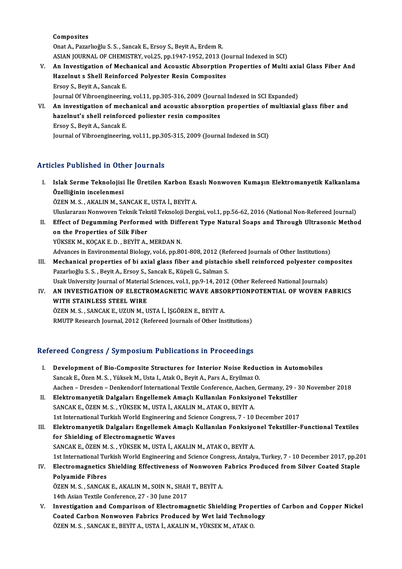Composites

Onat A., Pazarlıoğlu S. S., Sancak E., Ersoy S., Beyit A., Erdem R. ASIAN JOURNAL OF CHEMISTRY, vol.25, pp.1947-1952, 2013 (Journal Indexed in SCI)

- Onat A., Pazarlıoğlu S. S. , Sancak E., Ersoy S., Beyit A., Erdem R.<br>ASIAN JOURNAL OF CHEMISTRY, vol.25, pp.1947-1952, 2013 (Journal Indexed in SCI)<br>V. An Investigation of Mechanical and Acoustic Absorption Properties of M ASIAN JOURNAL OF CHEMISTRY, vol.25, pp.1947-1952, 2013 (Jo<br>An Investigation of Mechanical and Acoustic Absorption<br>Hazelnut s Shell Reinforced Polyester Resin Composites<br>Frequ S. Bouit A. Sancel: E An Investigation of Mecl<br>Hazelnut s Shell Reinfor<br>Ersoy S., Beyit A., Sancak E.<br>Journal Of Vibroongineerin Hazelnut s Shell Reinforced Polyester Resin Composites<br>Ersoy S., Beyit A., Sancak E.<br>Journal Of Vibroengineering, vol.11, pp.305-316, 2009 (Journal Indexed in SCI Expanded)<br>An investigation of mechanical and acquatic absor Ersoy S., Beyit A., Sancak E.<br>Journal Of Vibroengineering, vol.11, pp.305-316, 2009 (Journal Indexed in SCI Expanded)<br>VI. An investigation of mechanical and acoustic absorption properties of multiaxial glass fiber and<br>hare
- Journal Of Vibroengineering, vol.11, pp.305-316, 2009 (Journa<br>An investigation of mechanical and acoustic absorption<br>hazelnut's shell reinforced poliester resin composites<br>Freques Bouit A. Sangel: E An investigation of mech<br>hazelnut's shell reinford<br>Ersoy S., Beyit A., Sancak E.<br>Journal of Vibroongineerin hazelnut's shell reinforced poliester resin composites<br>Ersoy S., Beyit A., Sancak E.<br>Journal of Vibroengineering, vol.11, pp.305-315, 2009 (Journal Indexed in SCI)

## Articles Published in Other Journals

- rticles Published in Other Journals<br>I. Islak Serme Teknolojisi İle Üretilen Karbon Esaslı Nonwoven Kumaşın Elektromanyetik Kalkanlama<br>Örelliğinin inselenmesi Mos 1 denoncu in och<br>Islak Serme Teknolojisi<br>Özelliğinin incelenmesi<br>ÖZEN M S - AKALINM S/ Özelliğinin incelenmesi<br>ÖZEN M. S. , AKALIN M., SANCAK E., USTA İ., BEYİT A. Uluslararası Nonwoven Teknik Tekstil Teknoloji Dergisi, vol.1, pp.56-62, 2016 (National Non-Refereed Journal) ÖZEN M. S. , AKALIN M., SANCAK E., USTA İ., BEYİT A.<br>Uluslararası Nonwoven Teknik Tekstil Teknoloji Dergisi, vol.1, pp.56-62, 2016 (National Non-Refereed Journal)<br>II. Effect of Degumming Performed with Different Type Natur
- Uluslararası Nonwoven Teknik Tek<br>Effect of Degumming Performe<br>on the Properties of Silk Fiber<br>VÜKSEK M. KOCAK E.D., PEVIT A Effect of Degumming Performed with Differ<br>on the Properties of Silk Fiber<br>YÜKSEK M., KOÇAK E. D. , BEYİT A., MERDAN N.<br>Advances in Environmental Biology vol 6 nn 90 on the Properties of Silk Fiber<br>YÜKSEK M., KOÇAK E. D. , BEYİT A., MERDAN N.<br>Advances in Environmental Biology, vol.6, pp.801-808, 2012 (Refereed Journals of Other Institutions) YÜKSEK M., KOÇAK E. D. , BEYİT A., MERDAN N.<br>Advances in Environmental Biology, vol.6, pp.801-808, 2012 (Refereed Journals of Other Institutions)<br>III. Mechanical properties of bi axial glass fiber and pistachio shell reinf
- Advances in Environmental Biology, vol.6, pp.801-808, 2012 (Re<br>Mechanical properties of bi axial glass fiber and pistachi<br>Pazarlıoğlu S. S. , Beyit A., Ersoy S., Sancak E., Küpeli G., Salman S.<br>Heak University Journal of M Mechanical properties of bi axial glass fiber and pistachio shell reinforced polyester com<br>Pazarlıoğlu S. S. , Beyit A., Ersoy S., Sancak E., Küpeli G., Salman S.<br>Usak University Journal of Material Sciences, vol.1, pp.9-1 Pazarlıoğlu S. S. , Beyit A., Ersoy S., Sancak E., Küpeli G., Salman S.<br>Usak University Journal of Material Sciences, vol.1, pp.9-14, 2012 (Other Refereed National Journals)<br>IV. AN INVESTIGATION OF ELECTROMAGNETIC WAVE
- Usak University Journal of Material Sciences, vol.1, pp.9-14, 2012 (Other Refereed National Journals)<br>AN INVESTIGATION OF ELECTROMAGNETIC WAVE ABSORPTIONPOTENTIAL OF WOVEN F<br>WITH STAINLESS STEEL WIRE<br>ÖZEN M. S., SANCAK E., AN INVESTIGATION OF ELECTROMAGNETIC WAVE ABSC<br>WITH STAINLESS STEEL WIRE<br>ÖZEN M. S. , SANCAK E., UZUN M., USTA İ., İŞGÖREN E., BEYİT A.<br>BMUTB Besearsk Journal 2012 (Refereed Journals of Other Inc

RMUTP Research Journal, 2012 (Refereed Journals of Other Institutions)

## Refereed Congress / Symposium Publications in Proceedings

- I. Development of Bio-Composite Structures for Interior Noise Reduction in Automobiles Sancak E., Özen M. S., Yüksek M., Usta I., Atak O., Beyit A., Pars A., Eryilmaz O. Development of Bio-Composite Structures for Interior Noise Reduction in Automobiles<br>Sancak E., Özen M. S. , Yüksek M., Usta I., Atak O., Beyit A., Pars A., Eryilmaz O.<br>Aachen – Dresden – Denkendorf International Textile Co Sancak E., Özen M. S. , Yüksek M., Usta I., Atak O., Beyit A., Pars A., Eryilmaz O.<br>Aachen – Dresden – Denkendorf International Textile Conference, Aachen, Germany, 29 - :<br>II. Elektromanyetik Dalgaları Engellemek Amaçlı Ku
- Aachen Dresden Denkendorf International Textile Conference, Aachen,<br>Elektromanyetik Dalgaları Engellemek Amaçlı Kullanılan Fonksiyo<br>SANCAK E., ÖZEN M. S. , YÜKSEK M., USTA İ., AKALIN M., ATAK O., BEYİT A.<br>1st Internati Elektromanyetik Dalgaları Engellemek Amaçlı Kullanılan Fonksiyonel Tekstiller<br>SANCAK E., ÖZEN M. S. , YÜKSEK M., USTA İ., AKALIN M., ATAK O., BEYİT A.<br>1st International Turkish World Engineering and Science Congress, 7 - 1
- SANCAK E., ÖZEN M. S., YÜKSEK M., USTA İ., AKALIN M., ATAK O., BEYİT A.<br>1st International Turkish World Engineering and Science Congress, 7 10 December 2017<br>III. Elektromanyetik Dalgaları Engellemek Amaçlı Kullanılan Fon 1st International Turkish World Engineering<br>Elektromanyetik Dalgaları Engellemek A<br>for Shielding of Electromagnetic Waves SANCAK E., ÖZEN M. S., YÜKSEK M., USTA İ., AKALIN M., ATAK O., BEYİT A. 1st InternationalTurkishWorldEngineering and ScienceCongress,Antalya,Turkey,7 -10December 2017,pp.201 SANCAK E., ÖZEN M. S. , YÜKSEK M., USTA İ., AKALIN M., ATAK O., BEYİT A.<br>1st International Turkish World Engineering and Science Congress, Antalya, Turkey, 7 - 10 December 2017, pp.20<br>IV. Electromagnetics Shielding Effecti

## Polyamide Fibres Electromagnetics Shielding Effectiveness of Nonwoven<br>Polyamide Fibres<br>ÖZEN M. S. , SANCAK E., AKALIN M., SOIN N., SHAH T., BEYİT A.<br>14th Asian Tautile Conferense 27, 20 June 2017 ÖZEN M. S. , SANCAK E., AKALIN M., SOIN N., SHAH T., BEYİT A.<br>14th Asian Textile Conference, 27 - 30 June 2017

ÖZEN M. S., SANCAK E., AKALIN M., SOIN N., SHAH T., BEYİT A.<br>14th Asian Textile Conference, 27 - 30 June 2017<br>V. Investigation and Comparison of Electromagnetic Shielding Properties of Carbon and Copper Nickel<br>Coated Carbo 14th Asian Textile Conference, 27 - 30 June 2017<br>Investigation and Comparison of Electromagnetic Shielding Propertic<br>Coated Carbon Nonwoven Fabrics Produced by Wet laid Technology<br>ÖZEN M.S., SANCAKE, PEVIT A, USTA İ, AKALI Investigation and Comparison of Electromagnetic Shielding Prop<br>Coated Carbon Nonwoven Fabrics Produced by Wet laid Technol<br>ÖZEN M. S. , SANCAK E., BEYİT A., USTA İ., AKALIN M., YÜKSEK M., ATAK O.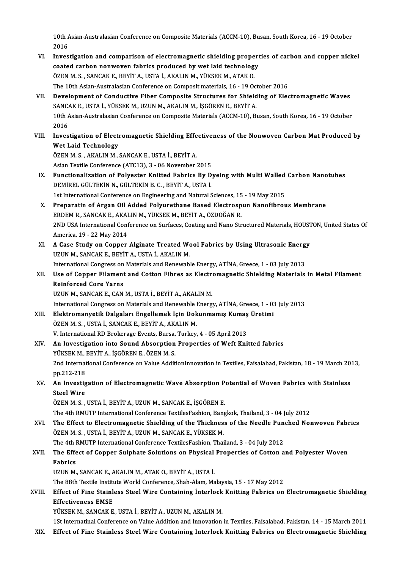10th Asian-Australasian Conference on Composite Materials (ACCM-10), Busan, South Korea, 16 - 19 October<br>2016  $10th$   $\mu$ <br> $2016$ 10th Asian-Australasian Conference on Composite Materials (ACCM-10), Busan, South Korea, 16 - 19 October<br>2016<br>VI. Investigation and comparison of electromagnetic shielding properties of carbon and cupper nickel<br>2021ed sarb

- 2016<br>Investigation and comparison of electromagnetic shielding propert<br>coated carbon nonwoven fabrics produced by wet laid technology<br>ÖZEN M.S., SANCAKE, PEVIT A, USTA İ, AKALIN M, VÜKSEK M, ATAK O Investigation and comparison of electromagnetic shielding prope<br>coated carbon nonwoven fabrics produced by wet laid technolog<br>ÖZEN M. S. , SANCAK E., BEYİT A., USTA İ., AKALIN M., YÜKSEK M., ATAK O.<br>The 10th Asian Australa ÖZEN M. S. , SANCAK E., BEYİT A., USTA İ., AKALIN M., YÜKSEK M., ATAK O.<br>The 10th Asian-Australasian Conference on Composit materials, 16 - 19 October 2016 ÖZEN M. S. , SANCAK E., BEYİT A., USTA İ., AKALIN M., YÜKSEK M., ATAK O.<br>The 10th Asian-Australasian Conference on Composite Materials, 16 - 19 October 2016<br>VII. Development of Conductive Fiber Composite Structures for Shi
- The 10th Asian-Australasian Conference on Composit materials, 16 19 Octorials.<br>Development of Conductive Fiber Composite Structures for Shield<br>SANCAK E., USTA İ., YÜKSEK M., UZUN M., AKALIN M., İŞGÖREN E., BEYİT A.<br>10th Development of Conductive Fiber Composite Structures for Shielding of Electromagnetic Waves<br>SANCAK E., USTA İ., YÜKSEK M., UZUN M., AKALIN M., İŞGÖREN E., BEYİT A.<br>10th Asian-Australasian Conference on Composite Materials SANC<br>10th /<br>2016<br>Inves 10th Asian-Australasian Conference on Composite Materials (ACCM-10), Busan, South Korea, 16 - 19 October<br>2016<br>Wet Laid Technology
- 2016<br>Investigation of Electi<br>Wet Laid Technology<br>ÖZEN M.S., AKALINM Investigation of Electromagnetic Shielding Effe<br>Wet Laid Technology<br>ÖZEN M. S., AKALIN M., SANCAK E., USTA İ., BEYİT A.<br>Asian Taytile Conferense (ATC12), 2., 06 Nevember
	- Wet Laid Technology<br>ÖZEN M. S. , AKALIN M., SANCAK E., USTA İ., BEYİT A.<br>Asian Textile Conference (ATC13), 3 06 November 2015
- ÖZEN M. S., AKALIN M., SANCAK E., USTA İ., BEYİT A.<br>Asian Textile Conference (ATC13), 3 06 November 2015<br>IX. Functionalization of Polyester Knitted Fabrics By Dyeing with Multi Walled Carbon Nanotubes<br>DEMIPEL CÜLTEVIN N. Asian Textile Conference (ATC13), 3 - 06 November 2015<br>Functionalization of Polyester Knitted Fabrics By D<br>DEMİREL GÜLTEKİN N., GÜLTEKİN B.C., BEYİT A., USTA İ.<br>1st International Conference en Engineering and Natural S Functionalization of Polyester Knitted Fabrics By Dyeing with Multi Walled<br>DEMİREL GÜLTEKİN N., GÜLTEKİN B. C. , BEYİT A., USTA İ.<br>1st International Conference on Engineering and Natural Sciences, 15 - 19 May 2015<br>Preperat 1st International Conference on Engineering and Natural Sciences, 15 - 19 May 2015
- DEMIREL GÜLTEKIN N., GÜLTEKIN B. C. , BEYIT A., USTA I.<br>1st International Conference on Engineering and Natural Sciences, 15 19 May 2015<br>2. Preparatin of Argan Oil Added Polyurethane Based Electrospun Nanofibrous Membran Preparatin of Argan Oil Added Polyurethane Based Electrospun Nanofibrous Membrane<br>ERDEM R., SANCAK E., AKALIN M., YÜKSEK M., BEYİT A., ÖZDOĞAN R.<br>2ND USA International Conference on Surfaces, Coating and Nano Structured Ma ERDEM R., SANCAK E., AKAI<br>2ND USA International Conf<br>America, 19 - 22 May 2014 2ND USA International Conference on Surfaces, Coating and Nano Structured Materials, HOUST<br>America, 19 - 22 May 2014<br>XI. A Case Study on Copper Alginate Treated Wool Fabrics by Using Ultrasonic Energy<br>ITZIIN M. SANCAKE REV
- America, 19 22 May 2014<br>XI. A Case Study on Copper Alginate Treated Wool Fabrics by Using Ultrasonic Energy<br>UZUN M., SANCAK E., BEYİT A., USTA İ., AKALIN M. A Case Study on Copper Alginate Treated Wool Fabrics by Using Ultrasonic Energ<br>UZUN M., SANCAK E., BEYİT A., USTA İ., AKALIN M.<br>International Congress on Materials and Renewable Energy, ATİNA, Greece, 1 - 03 July 2013<br>Use

UZUN M., SANCAK E., BEYİT A., USTA İ., AKALIN M.<br>International Congress on Materials and Renewable Energy, ATİNA, Greece, 1 - 03 July 2013<br>XII. Use of Copper Filament and Cotton Fibres as Electromagnetic Shielding Mate International Congress on<br>Use of Copper Filament<br>Reinforced Core Yarns<br>UZUN M. SANGAKE CAN Use of Copper Filament and Cotton Fibres as Electrical Core Yarns<br>Reinforced Core Yarns<br>UZUN M., SANCAK E., CAN M., USTA İ., BEYİT A., AKALIN M.<br>International Congress on Meterials and Bonaughla Energ Reinforced Core Yarns<br>UZUN M., SANCAK E., CAN M., USTA İ., BEYİT A., AKALIN M.<br>International Congress on Materials and Renewable Energy, ATİNA, Greece, 1 - 03 July 2013

- UZUN M., SANCAK E., CAN M., USTA İ., BEYİT A., AKALIN M.<br>International Congress on Materials and Renewable Energy, ATİNA, Greece, 1 03<br>XIII. Blektromanyetik Dalgaları Engellemek İçin Dokunmamış Kumaş Üretimi International Congress on Materials and Renewable |<br>Elektromanyetik Dalgaları Engellemek İçin Dok<br>ÖZEN M. S. , USTA İ., SANCAK E., BEYİT A., AKALIN M.<br>V. International PD Brakarage Events Burge, Turkey Elektromanyetik Dalgaları Engellemek İçin Dokunmamış Kumaş<br>ÖZEN M. S. , USTA İ., SANCAK E., BEYİT A., AKALIN M.<br>V. International RD Brokerage Events, Bursa, Turkey, 4 - 05 April 2013<br>An Investisation inte Seund Absenntion ÖZEN M. S., USTA İ., SANCAK E., BEYİT A., AKALIN M.<br>V. International RD Brokerage Events, Bursa, Turkey, 4 - 05 April 2013<br>XIV. An Investigation into Sound Absorption Properties of Weft Knitted fabrics<br>VIIVSEV M. BEVIT
- V. International RD Brokerage Events, Bursa,<br>An Investigation into Sound Absorption<br>YÜKSEK M., BEYİT A., İŞGÖREN E., ÖZEN M. S.<br>2nd International Conference on Value Addit 2nd International Conference on Value AdditionInnovation in Textiles, Faisalabad, Pakistan, 18 - 19 March 2013, pp.212-218 YÜKSEK M., BEYİT A., İSGÖREN E., ÖZEN M. S. 2nd International Conference on Value AdditionInnovation in Textiles, Faisalabad, Pakistan, 18 - 19 March 20<br>pp.212-218<br>XV. An Investigation of Electromagnetic Wave Absorption Potential of Woven Fabrics with Stainless<br>Stae
- pp.212-218<br><mark>An Investig</mark><br>Steel Wire<br>ÖZEN M S Steel Wire<br>ÖZEN M. S. , USTA İ., BEYİT A., UZUN M., SANCAK E., İŞGÖREN E.

The 4th RMUTP International Conference TextilesFashion, Bangkok, Thailand, 3 - 04 July 2012

ÖZEN M. S. , USTA İ., BEYİT A., UZUN M., SANCAK E., İŞGÖREN E.<br>The 4th RMUTP International Conference TextilesFashion, Bangkok, Thailand, 3 - 04 July 2012<br>XVI. The Effect to Electromagnetic Shielding of the Thickness o ÖZEN M. S. , USTA İ., BEYİT A., UZUN M., SANCAK E., YÜKSEK M.<br>The 4th RMUTP International Conference TextilesFashion, Thailand, 3 - 04 July 2012 The Effect to Electromagnetic Shielding of the Thickness of the Needle Pun<br>ÖZEN M.S., USTA İ., BEYİT A., UZUN M., SANCAK E., YÜKSEK M.<br>The 4th RMUTP International Conference TextilesFashion, Thailand, 3 - 04 July 2012<br>The ÖZEN M. S. , USTA İ., BEYİT A., UZUN M., SANCAK E., YÜKSEK M.<br>The 4th RMUTP International Conference TextilesFashion, Thailand, 3 - 04 July 2012<br>XVII. The Effect of Copper Sulphate Solutions on Physical Properties of C

## The 4th I<br><mark>The Effe</mark><br>Fabrics<br><sup>II7IIN M</sup> The Effect of Copper Sulphate Solutions on Physical<br>Fabrics<br>UZUN M., SANCAK E., AKALIN M., ATAK O., BEYİT A., USTA İ.<br>The 99th Teytile Institute World Conference Shab Alam Me Fabrics<br>UZUN M., SANCAK E., AKALIN M., ATAK O., BEYİT A., USTA İ.<br>The 88th Textile Institute World Conference, Shah-Alam, Malaysia, 15 - 17 May 2012<br>Effect of Eine Stainless Stael Wine Containing İnterlesk Knitting Eabrics

## UZUN M., SANCAK E., AKALIN M., ATAK O., BEYİT A., USTA İ.<br>The 88th Textile Institute World Conference, Shah-Alam, Malaysia, 15 - 17 May 2012<br>XVIII. Effect of Fine Stainless Steel Wire Containing İnterlock Knitting Fabr The 88th Textile Institute<br>Effect of Fine Stainle<br>Effectiveness EMSE<br>VÜKSEK M. SANGAK E Effect of Fine Stainless Steel Wire Containing Interlock<br>Effectiveness EMSE<br>YÜKSEK M., SANCAK E., USTA İ., BEYİT A., UZUN M., AKALIN M.<br>1St Internatinal Conference en Value Addition and Inneustion Effectiveness EMSE<br>1918 - YÜKSEK M., SANCAK E., USTA İ., BEYİT A., UZUN M., AKALIN M.<br>1St Internatinal Conference on Value Addition and Innovation in Textiles, Faisalabad, Pakistan, 14 - 15 March

- 
- XIX. Effect of Fine Stainless SteelWire Containing Interlock Knitting Fabrics on Electromagnetic Shielding